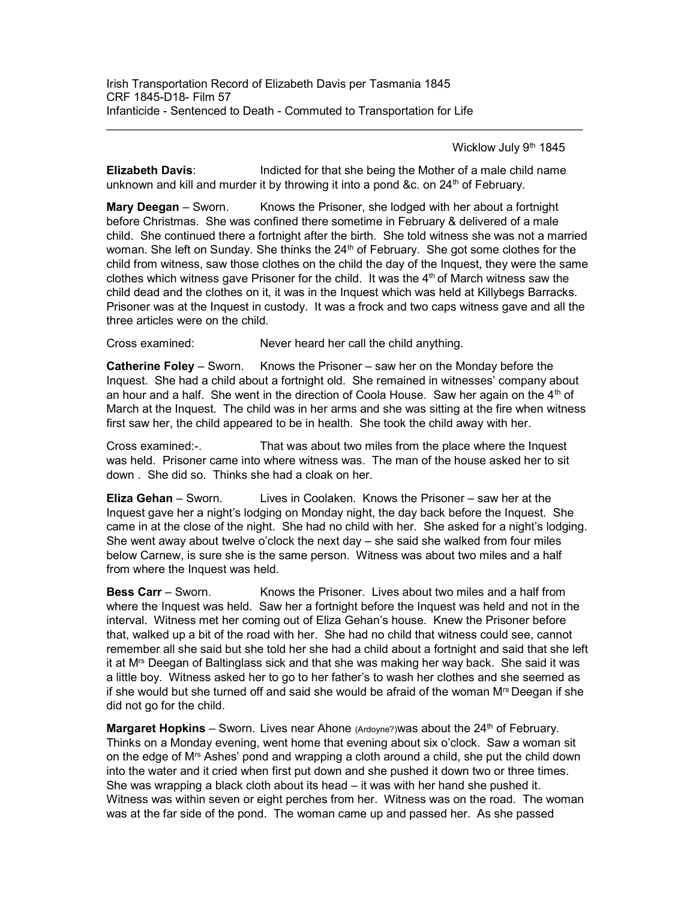Wicklow July 9th 1845

**Elizabeth Davis:** Indicted for that she being the Mother of a male child name unknown and kill and murder it by throwing it into a pond &c. on  $24<sup>th</sup>$  of February.

Mary Deegan – Sworn. Knows the Prisoner, she lodged with her about a fortnight before Christmas. She was confined there sometime in February & delivered of a male child. She continued there a fortnight after the birth. She told witness she was not a married woman. She left on Sunday. She thinks the  $24<sup>th</sup>$  of February. She got some clothes for the child from witness, saw those clothes on the child the day of the Inquest, they were the same clothes which witness gave Prisoner for the child. It was the  $4<sup>th</sup>$  of March witness saw the child dead and the clothes on it, it was in the Inquest which was held at Killybegs Barracks. Prisoner was at the Inquest in custody. It was a frock and two caps witness gave and all the three articles were on the child.

Cross examined: Never heard her call the child anything.

Catherine Foley – Sworn. Knows the Prisoner – saw her on the Monday before the Inquest. She had a child about a fortnight old. She remained in witnesses' company about an hour and a half. She went in the direction of Coola House. Saw her again on the  $4<sup>th</sup>$  of March at the Inquest. The child was in her arms and she was sitting at the fire when witness first saw her, the child appeared to be in health. She took the child away with her.

Cross examined:-. That was about two miles from the place where the Inquest was held. Prisoner came into where witness was. The man of the house asked her to sit down . She did so. Thinks she had a cloak on her.

Eliza Gehan – Sworn. Lives in Coolaken. Knows the Prisoner – saw her at the Inquest gave her a night's lodging on Monday night, the day back before the Inquest. She came in at the close of the night. She had no child with her. She asked for a night's lodging. She went away about twelve o'clock the next day – she said she walked from four miles below Carnew, is sure she is the same person. Witness was about two miles and a half from where the Inquest was held.

**Bess Carr** – Sworn. Knows the Prisoner. Lives about two miles and a half from where the Inquest was held. Saw her a fortnight before the Inquest was held and not in the interval. Witness met her coming out of Eliza Gehan's house. Knew the Prisoner before that, walked up a bit of the road with her. She had no child that witness could see, cannot remember all she said but she told her she had a child about a fortnight and said that she left it at Mrs Deegan of Baltinglass sick and that she was making her way back. She said it was a little boy. Witness asked her to go to her father's to wash her clothes and she seemed as if she would but she turned off and said she would be afraid of the woman  $M<sup>rs</sup>$  Deegan if she did not go for the child.

**Margaret Hopkins** – Sworn. Lives near Ahone (Ardoyne?)was about the  $24<sup>th</sup>$  of February. Thinks on a Monday evening, went home that evening about six o'clock. Saw a woman sit on the edge of Mrs Ashes' pond and wrapping a cloth around a child, she put the child down into the water and it cried when first put down and she pushed it down two or three times. She was wrapping a black cloth about its head – it was with her hand she pushed it. Witness was within seven or eight perches from her. Witness was on the road. The woman was at the far side of the pond. The woman came up and passed her. As she passed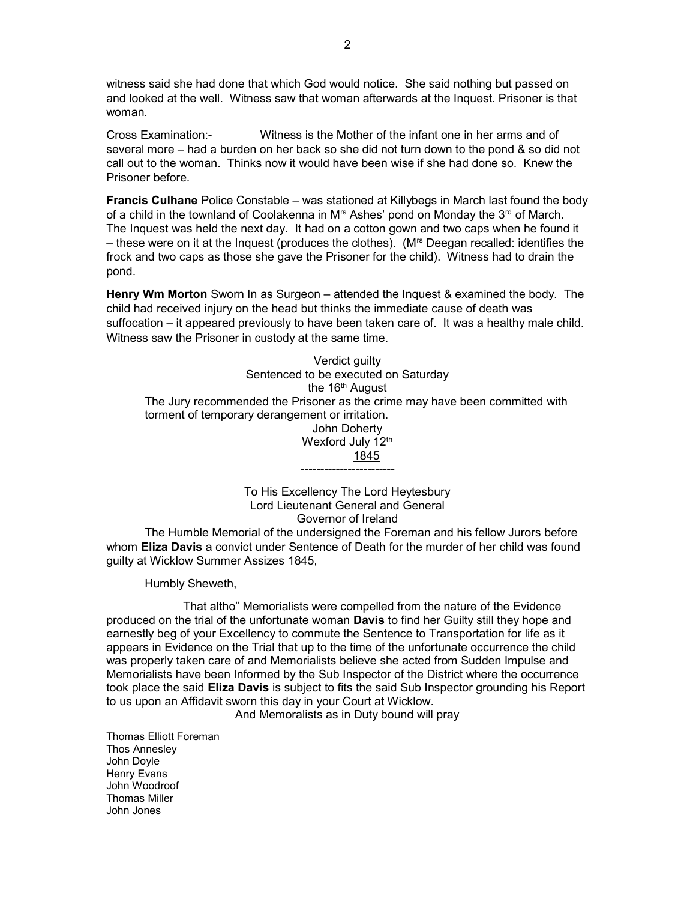witness said she had done that which God would notice. She said nothing but passed on and looked at the well. Witness saw that woman afterwards at the Inquest. Prisoner is that woman.

Cross Examination:- Witness is the Mother of the infant one in her arms and of several more – had a burden on her back so she did not turn down to the pond & so did not call out to the woman. Thinks now it would have been wise if she had done so. Knew the Prisoner before.

Francis Culhane Police Constable – was stationed at Killybegs in March last found the body of a child in the townland of Coolakenna in  $M<sup>rs</sup>$  Ashes' pond on Monday the  $3<sup>rd</sup>$  of March. The Inquest was held the next day. It had on a cotton gown and two caps when he found it – these were on it at the Inquest (produces the clothes). ( $M<sup>rs</sup>$  Deegan recalled: identifies the frock and two caps as those she gave the Prisoner for the child). Witness had to drain the pond.

Henry Wm Morton Sworn In as Surgeon – attended the Inquest & examined the body. The child had received injury on the head but thinks the immediate cause of death was suffocation – it appeared previously to have been taken care of. It was a healthy male child. Witness saw the Prisoner in custody at the same time.

Verdict guilty Sentenced to be executed on Saturday the 16<sup>th</sup> August The Jury recommended the Prisoner as the crime may have been committed with torment of temporary derangement or irritation. John Doherty Wexford July 12<sup>th</sup> 1845 ------------------------

> To His Excellency The Lord Heytesbury Lord Lieutenant General and General Governor of Ireland

 The Humble Memorial of the undersigned the Foreman and his fellow Jurors before whom **Eliza Davis** a convict under Sentence of Death for the murder of her child was found guilty at Wicklow Summer Assizes 1845,

Humbly Sheweth,

 That altho" Memorialists were compelled from the nature of the Evidence produced on the trial of the unfortunate woman Davis to find her Guilty still they hope and earnestly beg of your Excellency to commute the Sentence to Transportation for life as it appears in Evidence on the Trial that up to the time of the unfortunate occurrence the child was properly taken care of and Memorialists believe she acted from Sudden Impulse and Memorialists have been Informed by the Sub Inspector of the District where the occurrence took place the said Eliza Davis is subject to fits the said Sub Inspector grounding his Report to us upon an Affidavit sworn this day in your Court at Wicklow.

And Memoralists as in Duty bound will pray

Thomas Elliott Foreman Thos Annesley John Doyle Henry Evans John Woodroof Thomas Miller John Jones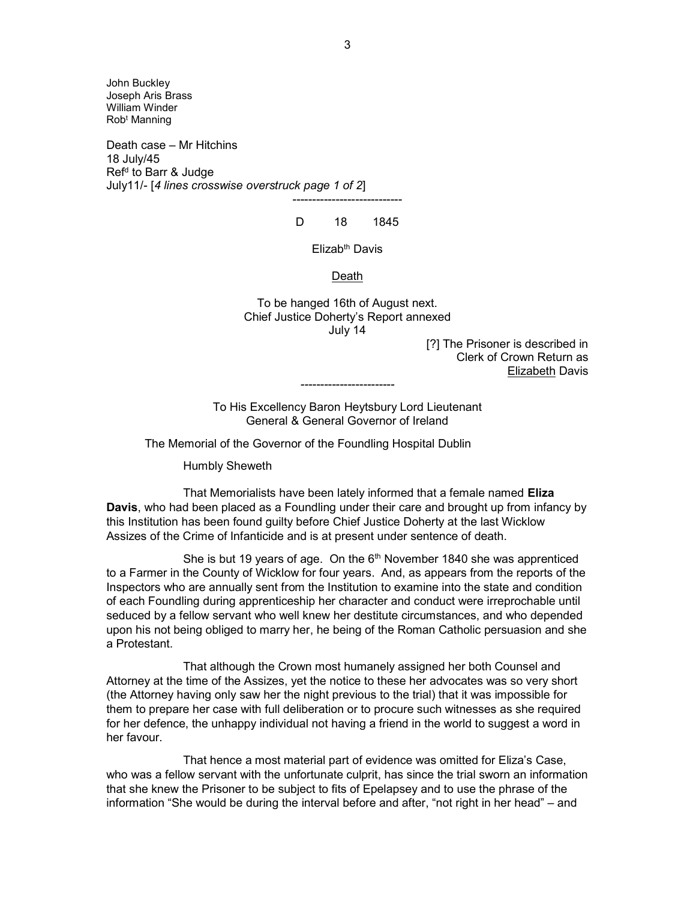John Buckley Joseph Aris Brass William Winder Rob<sup>t</sup> Manning

Death case – Mr Hitchins 18 July/45 Ref<sup>d</sup> to Barr & Judge July11/- [4 lines crosswise overstruck page 1 of 2]

# ---------------------------- D 18 1845

Elizab<sup>th</sup> Davis

### Death

To be hanged 16th of August next. Chief Justice Doherty's Report annexed July 14

> [?] The Prisoner is described in Clerk of Crown Return as Elizabeth Davis

To His Excellency Baron Heytsbury Lord Lieutenant General & General Governor of Ireland

------------------------

The Memorial of the Governor of the Foundling Hospital Dublin

Humbly Sheweth

That Memorialists have been lately informed that a female named Eliza Davis, who had been placed as a Foundling under their care and brought up from infancy by this Institution has been found guilty before Chief Justice Doherty at the last Wicklow Assizes of the Crime of Infanticide and is at present under sentence of death.

She is but 19 years of age. On the 6<sup>th</sup> November 1840 she was apprenticed to a Farmer in the County of Wicklow for four years. And, as appears from the reports of the Inspectors who are annually sent from the Institution to examine into the state and condition of each Foundling during apprenticeship her character and conduct were irreprochable until seduced by a fellow servant who well knew her destitute circumstances, and who depended upon his not being obliged to marry her, he being of the Roman Catholic persuasion and she a Protestant.

 That although the Crown most humanely assigned her both Counsel and Attorney at the time of the Assizes, yet the notice to these her advocates was so very short (the Attorney having only saw her the night previous to the trial) that it was impossible for them to prepare her case with full deliberation or to procure such witnesses as she required for her defence, the unhappy individual not having a friend in the world to suggest a word in her favour.

 That hence a most material part of evidence was omitted for Eliza's Case, who was a fellow servant with the unfortunate culprit, has since the trial sworn an information that she knew the Prisoner to be subject to fits of Epelapsey and to use the phrase of the information "She would be during the interval before and after, "not right in her head" – and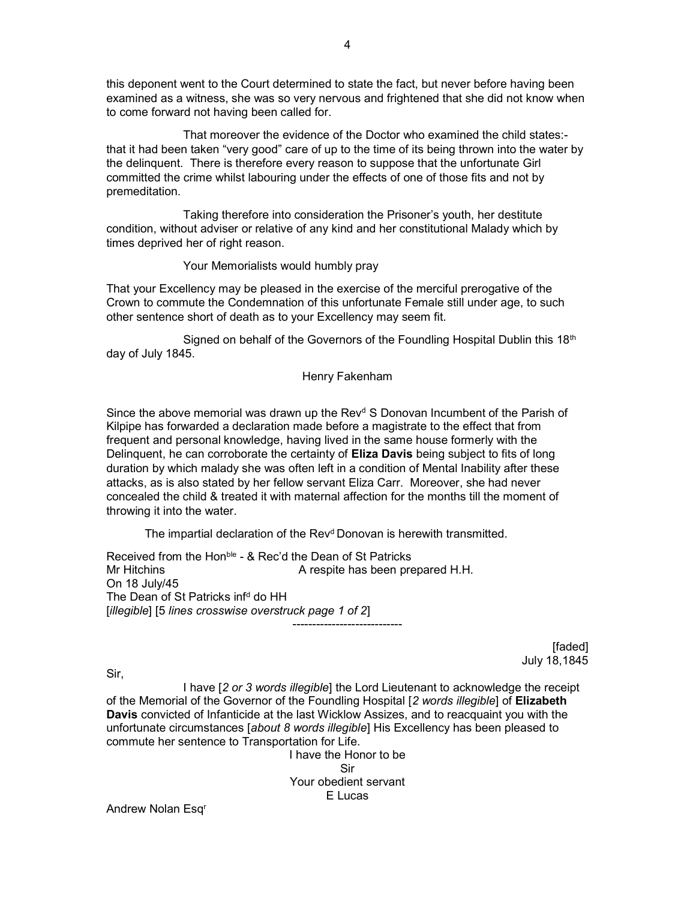this deponent went to the Court determined to state the fact, but never before having been examined as a witness, she was so very nervous and frightened that she did not know when to come forward not having been called for.

 That moreover the evidence of the Doctor who examined the child states: that it had been taken "very good" care of up to the time of its being thrown into the water by the delinquent. There is therefore every reason to suppose that the unfortunate Girl committed the crime whilst labouring under the effects of one of those fits and not by premeditation.

 Taking therefore into consideration the Prisoner's youth, her destitute condition, without adviser or relative of any kind and her constitutional Malady which by times deprived her of right reason.

Your Memorialists would humbly pray

That your Excellency may be pleased in the exercise of the merciful prerogative of the Crown to commute the Condemnation of this unfortunate Female still under age, to such other sentence short of death as to your Excellency may seem fit.

Signed on behalf of the Governors of the Foundling Hospital Dublin this 18<sup>th</sup> day of July 1845.

### Henry Fakenham

Since the above memorial was drawn up the Rev<sup>d</sup> S Donovan Incumbent of the Parish of Kilpipe has forwarded a declaration made before a magistrate to the effect that from frequent and personal knowledge, having lived in the same house formerly with the Delinquent, he can corroborate the certainty of **Eliza Davis** being subject to fits of long duration by which malady she was often left in a condition of Mental Inability after these attacks, as is also stated by her fellow servant Eliza Carr. Moreover, she had never concealed the child & treated it with maternal affection for the months till the moment of throwing it into the water.

The impartial declaration of the Rev<sup>d</sup> Donovan is herewith transmitted.

Received from the Hon<sup>ble</sup> - & Rec'd the Dean of St Patricks Mr Hitchins **A** respite has been prepared H.H. On 18 July/45 The Dean of St Patricks inf<sup>d</sup> do HH [illegible] [5 lines crosswise overstruck page 1 of 2] ----------------------------

> [faded] July 18,1845

Sir,

I have [2 or 3 words illegible] the Lord Lieutenant to acknowledge the receipt of the Memorial of the Governor of the Foundling Hospital [2 words illegible] of Elizabeth Davis convicted of Infanticide at the last Wicklow Assizes, and to reacquaint you with the unfortunate circumstances [about 8 words illegible] His Excellency has been pleased to commute her sentence to Transportation for Life.

I have the Honor to be Sir Your obedient servant E Lucas

Andrew Nolan Esqr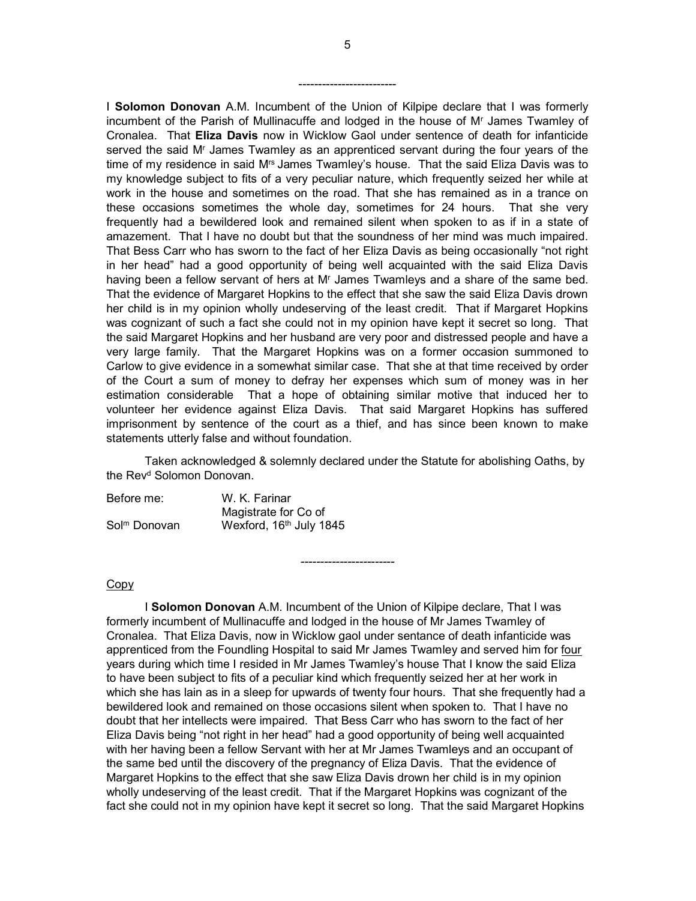I Solomon Donovan A.M. Incumbent of the Union of Kilpipe declare that I was formerly incumbent of the Parish of Mullinacuffe and lodged in the house of M<sup>r</sup> James Twamley of Cronalea. That Eliza Davis now in Wicklow Gaol under sentence of death for infanticide served the said M<sup>r</sup> James Twamley as an apprenticed servant during the four years of the time of my residence in said M<sup>rs</sup> James Twamley's house. That the said Eliza Davis was to my knowledge subject to fits of a very peculiar nature, which frequently seized her while at work in the house and sometimes on the road. That she has remained as in a trance on these occasions sometimes the whole day, sometimes for 24 hours. That she very frequently had a bewildered look and remained silent when spoken to as if in a state of amazement. That I have no doubt but that the soundness of her mind was much impaired. That Bess Carr who has sworn to the fact of her Eliza Davis as being occasionally "not right in her head" had a good opportunity of being well acquainted with the said Eliza Davis having been a fellow servant of hers at M<sup>r</sup> James Twamleys and a share of the same bed. That the evidence of Margaret Hopkins to the effect that she saw the said Eliza Davis drown her child is in my opinion wholly undeserving of the least credit. That if Margaret Hopkins was cognizant of such a fact she could not in my opinion have kept it secret so long. That the said Margaret Hopkins and her husband are very poor and distressed people and have a very large family. That the Margaret Hopkins was on a former occasion summoned to Carlow to give evidence in a somewhat similar case. That she at that time received by order of the Court a sum of money to defray her expenses which sum of money was in her estimation considerable That a hope of obtaining similar motive that induced her to volunteer her evidence against Eliza Davis. That said Margaret Hopkins has suffered imprisonment by sentence of the court as a thief, and has since been known to make statements utterly false and without foundation.

 Taken acknowledged & solemnly declared under the Statute for abolishing Oaths, by the Rev<sup>d</sup> Solomon Donovan.

------------------------

Before me: W. K. Farinar Magistrate for Co of Sol<sup>m</sup> Donovan Wexford, 16<sup>th</sup> July 1845

### Copy

I Solomon Donovan A.M. Incumbent of the Union of Kilpipe declare, That I was formerly incumbent of Mullinacuffe and lodged in the house of Mr James Twamley of Cronalea. That Eliza Davis, now in Wicklow gaol under sentance of death infanticide was apprenticed from the Foundling Hospital to said Mr James Twamley and served him for four years during which time I resided in Mr James Twamley's house That I know the said Eliza to have been subject to fits of a peculiar kind which frequently seized her at her work in which she has lain as in a sleep for upwards of twenty four hours. That she frequently had a bewildered look and remained on those occasions silent when spoken to. That I have no doubt that her intellects were impaired. That Bess Carr who has sworn to the fact of her Eliza Davis being "not right in her head" had a good opportunity of being well acquainted with her having been a fellow Servant with her at Mr James Twamleys and an occupant of the same bed until the discovery of the pregnancy of Eliza Davis. That the evidence of Margaret Hopkins to the effect that she saw Eliza Davis drown her child is in my opinion wholly undeserving of the least credit. That if the Margaret Hopkins was cognizant of the fact she could not in my opinion have kept it secret so long. That the said Margaret Hopkins

-------------------------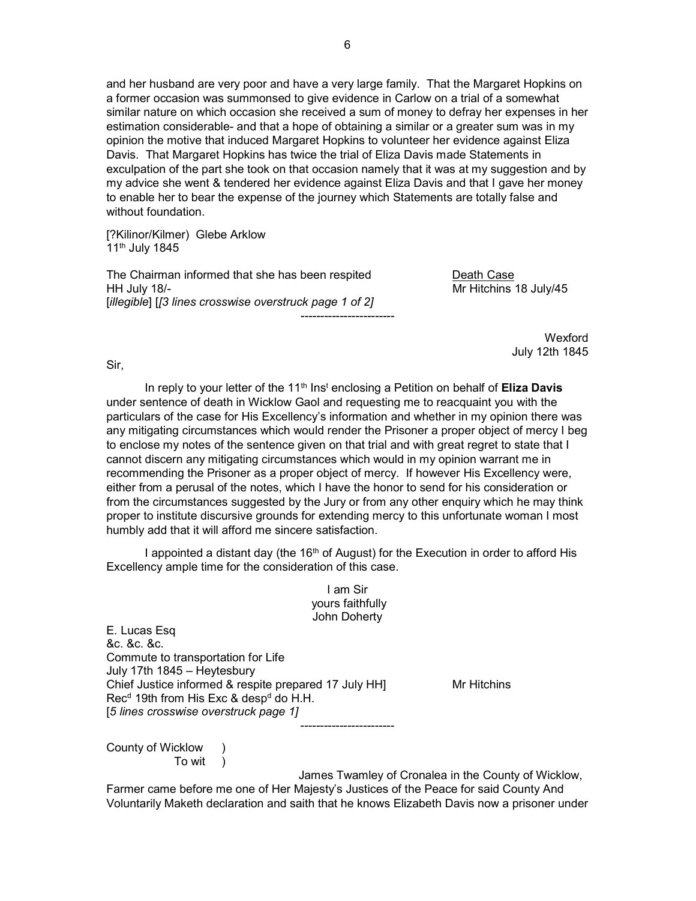and her husband are very poor and have a very large family. That the Margaret Hopkins on a former occasion was summonsed to give evidence in Carlow on a trial of a somewhat similar nature on which occasion she received a sum of money to defray her expenses in her estimation considerable- and that a hope of obtaining a similar or a greater sum was in my opinion the motive that induced Margaret Hopkins to volunteer her evidence against Eliza Davis. That Margaret Hopkins has twice the trial of Eliza Davis made Statements in exculpation of the part she took on that occasion namely that it was at my suggestion and by my advice she went & tendered her evidence against Eliza Davis and that I gave her money to enable her to bear the expense of the journey which Statements are totally false and without foundation.

[?Kilinor/Kilmer) Glebe Arklow 11th July 1845

The Chairman informed that she has been respited Death Case HH July 18/- Mr Hitchins 18 July/45 [illegible] [[3 lines crosswise overstruck page 1 of 2] ------------------------

 Wexford July 12th 1845

Sir,

In reply to your letter of the 11<sup>th</sup> Ins<sup>t</sup> enclosing a Petition on behalf of **Eliza Davis** under sentence of death in Wicklow Gaol and requesting me to reacquaint you with the particulars of the case for His Excellency's information and whether in my opinion there was any mitigating circumstances which would render the Prisoner a proper object of mercy I beg to enclose my notes of the sentence given on that trial and with great regret to state that I cannot discern any mitigating circumstances which would in my opinion warrant me in recommending the Prisoner as a proper object of mercy. If however His Excellency were, either from a perusal of the notes, which I have the honor to send for his consideration or from the circumstances suggested by the Jury or from any other enquiry which he may think proper to institute discursive grounds for extending mercy to this unfortunate woman I most humbly add that it will afford me sincere satisfaction.

I appointed a distant day (the  $16<sup>th</sup>$  of August) for the Execution in order to afford His Excellency ample time for the consideration of this case.

> I am Sir yours faithfully John Doherty

E. Lucas Esq &c. &c. &c. Commute to transportation for Life July 17th 1845 – Heytesbury Chief Justice informed & respite prepared 17 July HH] Mr Hitchins Rec<sup>d</sup> 19th from His Exc & desp<sup>d</sup> do H.H. [5 lines crosswise overstruck page 1] ------------------------

County of Wicklow ) To wit )

James Twamley of Cronalea in the County of Wicklow,

Farmer came before me one of Her Majesty's Justices of the Peace for said County And Voluntarily Maketh declaration and saith that he knows Elizabeth Davis now a prisoner under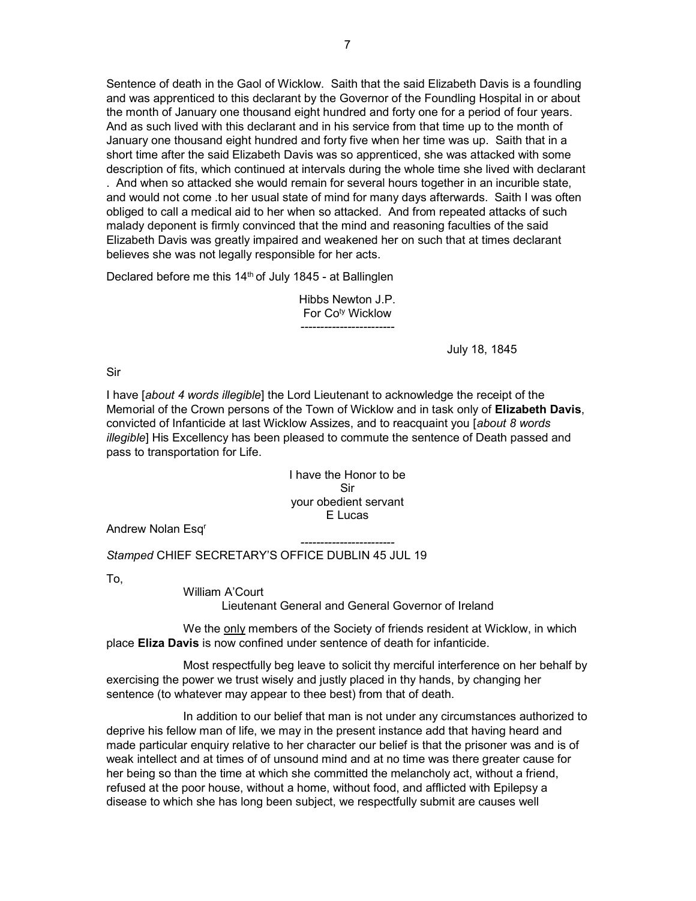Sentence of death in the Gaol of Wicklow. Saith that the said Elizabeth Davis is a foundling and was apprenticed to this declarant by the Governor of the Foundling Hospital in or about the month of January one thousand eight hundred and forty one for a period of four years. And as such lived with this declarant and in his service from that time up to the month of January one thousand eight hundred and forty five when her time was up. Saith that in a short time after the said Elizabeth Davis was so apprenticed, she was attacked with some description of fits, which continued at intervals during the whole time she lived with declarant . And when so attacked she would remain for several hours together in an incurible state, and would not come .to her usual state of mind for many days afterwards. Saith I was often obliged to call a medical aid to her when so attacked. And from repeated attacks of such malady deponent is firmly convinced that the mind and reasoning faculties of the said Elizabeth Davis was greatly impaired and weakened her on such that at times declarant believes she was not legally responsible for her acts.

Declared before me this  $14<sup>th</sup>$  of July 1845 - at Ballinglen

Hibbs Newton J.P. For Co<sup>ty</sup> Wicklow ------------------------

July 18, 1845

## Sir

I have [about 4 words illegible] the Lord Lieutenant to acknowledge the receipt of the Memorial of the Crown persons of the Town of Wicklow and in task only of **Elizabeth Davis**, convicted of Infanticide at last Wicklow Assizes, and to reacquaint you [about 8 words illegible] His Excellency has been pleased to commute the sentence of Death passed and pass to transportation for Life.

> I have the Honor to be Sir your obedient servant E Lucas

Andrew Nolan Esq<sup>r</sup>

------------------------ Stamped CHIEF SECRETARY'S OFFICE DUBLIN 45 JUL 19

To,

William A'Court

Lieutenant General and General Governor of Ireland

 We the only members of the Society of friends resident at Wicklow, in which place Eliza Davis is now confined under sentence of death for infanticide.

 Most respectfully beg leave to solicit thy merciful interference on her behalf by exercising the power we trust wisely and justly placed in thy hands, by changing her sentence (to whatever may appear to thee best) from that of death.

 In addition to our belief that man is not under any circumstances authorized to deprive his fellow man of life, we may in the present instance add that having heard and made particular enquiry relative to her character our belief is that the prisoner was and is of weak intellect and at times of of unsound mind and at no time was there greater cause for her being so than the time at which she committed the melancholy act, without a friend, refused at the poor house, without a home, without food, and afflicted with Epilepsy a disease to which she has long been subject, we respectfully submit are causes well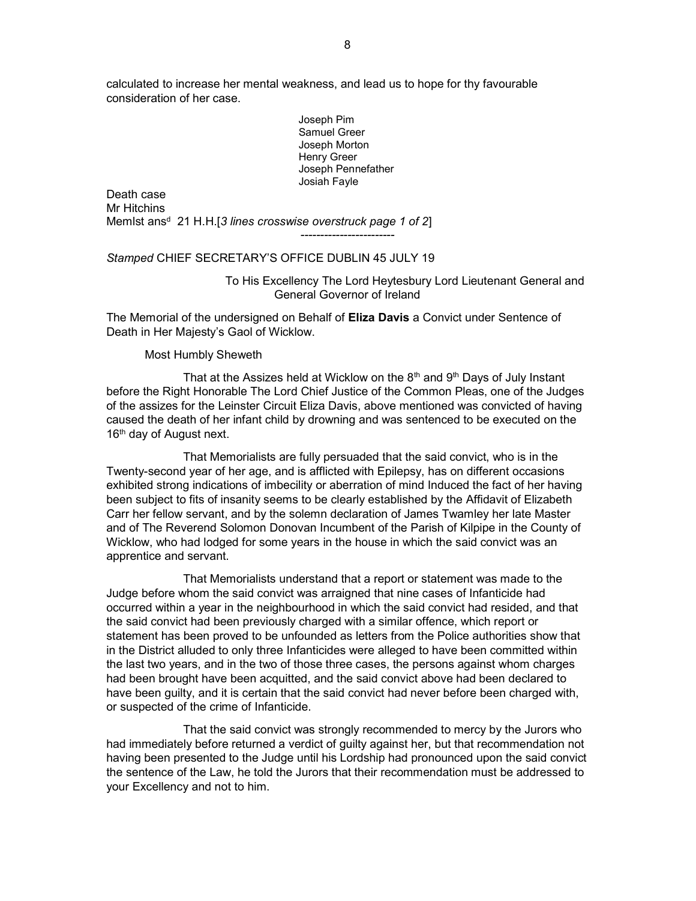calculated to increase her mental weakness, and lead us to hope for thy favourable consideration of her case.

> Joseph Pim Samuel Greer Joseph Morton Henry Greer Joseph Pennefather Josiah Fayle

Death case Mr Hitchins Memlst ans<sup>d</sup> 21 H.H.[3 lines crosswise overstruck page 1 of 2] ------------------------

#### Stamped CHIEF SECRETARY'S OFFICE DUBLIN 45 JULY 19

 To His Excellency The Lord Heytesbury Lord Lieutenant General and General Governor of Ireland

The Memorial of the undersigned on Behalf of Eliza Davis a Convict under Sentence of Death in Her Majesty's Gaol of Wicklow.

Most Humbly Sheweth

That at the Assizes held at Wicklow on the  $8<sup>th</sup>$  and  $9<sup>th</sup>$  Days of July Instant before the Right Honorable The Lord Chief Justice of the Common Pleas, one of the Judges of the assizes for the Leinster Circuit Eliza Davis, above mentioned was convicted of having caused the death of her infant child by drowning and was sentenced to be executed on the 16<sup>th</sup> day of August next.

 That Memorialists are fully persuaded that the said convict, who is in the Twenty-second year of her age, and is afflicted with Epilepsy, has on different occasions exhibited strong indications of imbecility or aberration of mind Induced the fact of her having been subject to fits of insanity seems to be clearly established by the Affidavit of Elizabeth Carr her fellow servant, and by the solemn declaration of James Twamley her late Master and of The Reverend Solomon Donovan Incumbent of the Parish of Kilpipe in the County of Wicklow, who had lodged for some years in the house in which the said convict was an apprentice and servant.

 That Memorialists understand that a report or statement was made to the Judge before whom the said convict was arraigned that nine cases of Infanticide had occurred within a year in the neighbourhood in which the said convict had resided, and that the said convict had been previously charged with a similar offence, which report or statement has been proved to be unfounded as letters from the Police authorities show that in the District alluded to only three Infanticides were alleged to have been committed within the last two years, and in the two of those three cases, the persons against whom charges had been brought have been acquitted, and the said convict above had been declared to have been guilty, and it is certain that the said convict had never before been charged with, or suspected of the crime of Infanticide.

 That the said convict was strongly recommended to mercy by the Jurors who had immediately before returned a verdict of guilty against her, but that recommendation not having been presented to the Judge until his Lordship had pronounced upon the said convict the sentence of the Law, he told the Jurors that their recommendation must be addressed to your Excellency and not to him.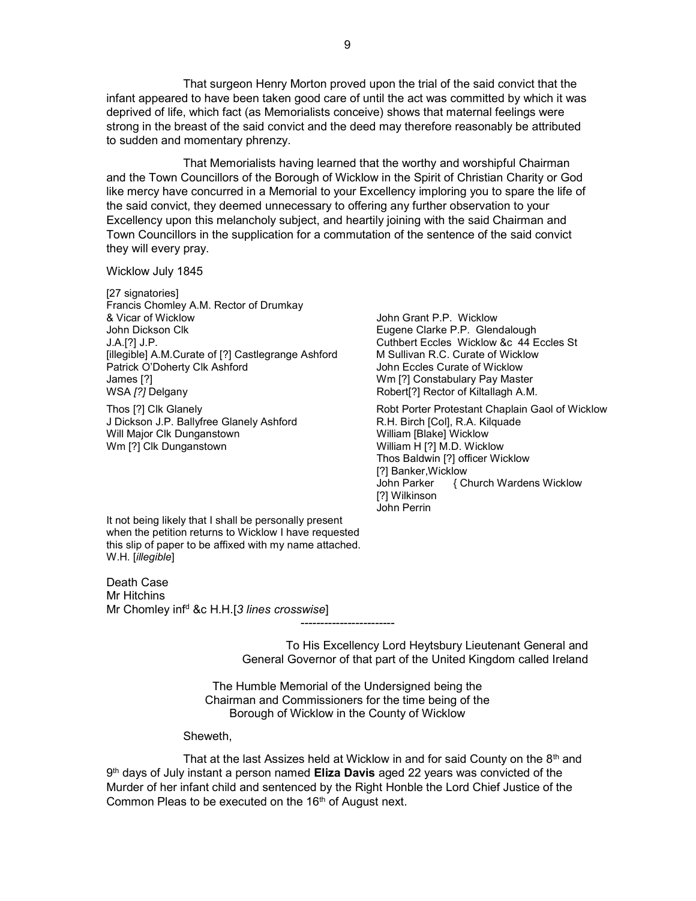That surgeon Henry Morton proved upon the trial of the said convict that the infant appeared to have been taken good care of until the act was committed by which it was deprived of life, which fact (as Memorialists conceive) shows that maternal feelings were strong in the breast of the said convict and the deed may therefore reasonably be attributed to sudden and momentary phrenzy.

 That Memorialists having learned that the worthy and worshipful Chairman and the Town Councillors of the Borough of Wicklow in the Spirit of Christian Charity or God like mercy have concurred in a Memorial to your Excellency imploring you to spare the life of the said convict, they deemed unnecessary to offering any further observation to your Excellency upon this melancholy subject, and heartily joining with the said Chairman and Town Councillors in the supplication for a commutation of the sentence of the said convict they will every pray.

Wicklow July 1845

[27 signatories] Francis Chomley A.M. Rector of Drumkay & Vicar of Wicklow John Grant P.P. Wicklow John Dickson Clk **Eugene Clarke P.P.** Glendalough J.A.[?] J.P. Cuthbert Eccles Wicklow &c 44 Eccles St [illegible] A.M.Curate of [?] Castlegrange Ashford M Sullivan R.C. Curate of Wicklow Patrick O'Doherty Clk Ashford John Eccles Curate of Wicklow James [?] Wm [?] Constabulary Pay Master

J Dickson J.P. Ballyfree Glanely Ashford **R.H. Birch [Col], R.A. Kilquade** Will Major Clk Dunganstown Wm [?] Clk Dunganstown

Robert<sup>[?]</sup> Rector of Kiltallagh A.M.

Thos [?] Clk Glanely **Robt Porter Protestant Chaplain Gaol of Wicklow** William [Blake] Wicklow William H [?] M.D. Wicklow Thos Baldwin [?] officer Wicklow [?] Banker,Wicklow John Parker { Church Wardens Wicklow [?] Wilkinson John Perrin

It not being likely that I shall be personally present when the petition returns to Wicklow I have requested this slip of paper to be affixed with my name attached. W.H. [*illegible*]

Death Case Mr Hitchins Mr Chomley inf<sup>d</sup> &c H.H.[3 lines crosswise]

> To His Excellency Lord Heytsbury Lieutenant General and General Governor of that part of the United Kingdom called Ireland

The Humble Memorial of the Undersigned being the Chairman and Commissioners for the time being of the Borough of Wicklow in the County of Wicklow

------------------------

Sheweth,

That at the last Assizes held at Wicklow in and for said County on the  $8<sup>th</sup>$  and 9<sup>th</sup> days of July instant a person named Eliza Davis aged 22 years was convicted of the Murder of her infant child and sentenced by the Right Honble the Lord Chief Justice of the Common Pleas to be executed on the 16<sup>th</sup> of August next.